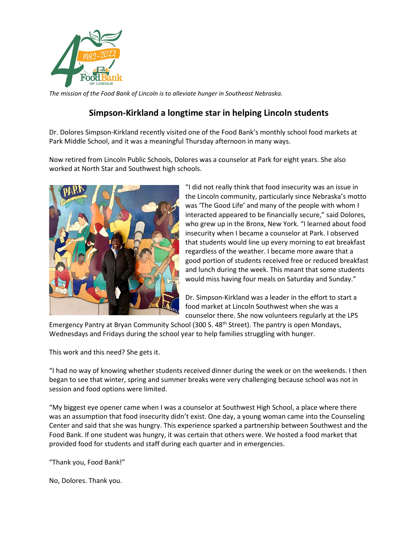

*The mission of the Food Bank of Lincoln is to alleviate hunger in Southeast Nebraska.* 

## **Simpson-Kirkland a longtime star in helping Lincoln students**

Dr. Dolores Simpson-Kirkland recently visited one of the Food Bank's monthly school food markets at Park Middle School, and it was a meaningful Thursday afternoon in many ways.

Now retired from Lincoln Public Schools, Dolores was a counselor at Park for eight years. She also worked at North Star and Southwest high schools.



"I did not really think that food insecurity was an issue in the Lincoln community, particularly since Nebraska's motto was 'The Good Life' and many of the people with whom I interacted appeared to be financially secure," said Dolores, who grew up in the Bronx, New York. "I learned about food insecurity when I became a counselor at Park. I observed that students would line up every morning to eat breakfast regardless of the weather. I became more aware that a good portion of students received free or reduced breakfast and lunch during the week. This meant that some students would miss having four meals on Saturday and Sunday."

Dr. Simpson-Kirkland was a leader in the effort to start a food market at Lincoln Southwest when she was a counselor there. She now volunteers regularly at the LPS

Emergency Pantry at Bryan Community School (300 S. 48<sup>th</sup> Street). The pantry is open Mondays, Wednesdays and Fridays during the school year to help families struggling with hunger.

This work and this need? She gets it.

"I had no way of knowing whether students received dinner during the week or on the weekends. I then began to see that winter, spring and summer breaks were very challenging because school was not in session and food options were limited.

"My biggest eye opener came when I was a counselor at Southwest High School, a place where there was an assumption that food insecurity didn't exist. One day, a young woman came into the Counseling Center and said that she was hungry. This experience sparked a partnership between Southwest and the Food Bank. If one student was hungry, it was certain that others were. We hosted a food market that provided food for students and staff during each quarter and in emergencies.

"Thank you, Food Bank!"

No, Dolores. Thank you.